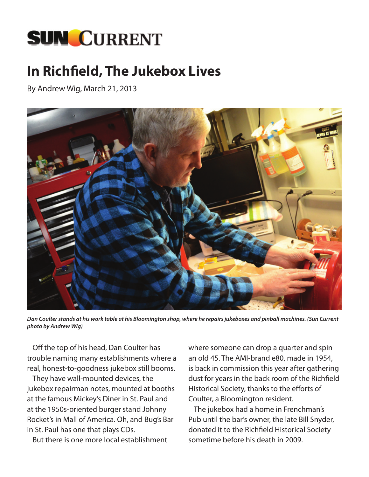

## **In Richfield, The Jukebox Lives**

By Andrew Wig, March 21, 2013



*Dan Coulter stands at his work table at his Bloomington shop, where he repairs jukeboxes and pinball machines. (Sun Current photo by Andrew Wig)*

Off the top of his head, Dan Coulter has trouble naming many establishments where a real, honest-to-goodness jukebox still booms.

They have wall-mounted devices, the jukebox repairman notes, mounted at booths at the famous Mickey's Diner in St. Paul and at the 1950s-oriented burger stand Johnny Rocket's in Mall of America. Oh, and Bug's Bar in St. Paul has one that plays CDs.

But there is one more local establishment

where someone can drop a quarter and spin an old 45. The AMI-brand e80, made in 1954, is back in commission this year after gathering dust for years in the back room of the Richfield Historical Society, thanks to the efforts of Coulter, a Bloomington resident.

The jukebox had a home in Frenchman's Pub until the bar's owner, the late Bill Snyder, donated it to the Richfield Historical Society sometime before his death in 2009.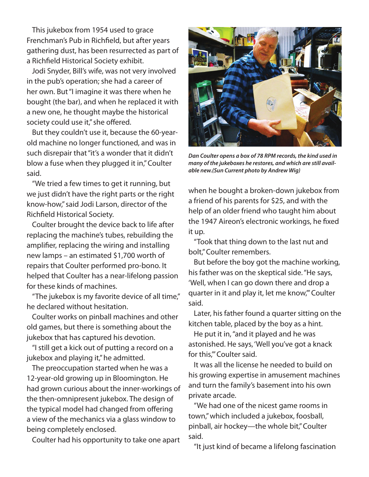This jukebox from 1954 used to grace Frenchman's Pub in Richfield, but after years gathering dust, has been resurrected as part of a Richfield Historical Society exhibit.

Jodi Snyder, Bill's wife, was not very involved in the pub's operation; she had a career of her own. But "I imagine it was there when he bought (the bar), and when he replaced it with a new one, he thought maybe the historical society could use it," she offered.

But they couldn't use it, because the 60-yearold machine no longer functioned, and was in such disrepair that "it's a wonder that it didn't blow a fuse when they plugged it in," Coulter said.

"We tried a few times to get it running, but we just didn't have the right parts or the right know-how," said Jodi Larson, director of the Richfield Historical Society.

Coulter brought the device back to life after replacing the machine's tubes, rebuilding the amplifier, replacing the wiring and installing new lamps – an estimated \$1,700 worth of repairs that Coulter performed pro-bono. It helped that Coulter has a near-lifelong passion for these kinds of machines.

"The jukebox is my favorite device of all time," he declared without hesitation.

Coulter works on pinball machines and other old games, but there is something about the jukebox that has captured his devotion.

"I still get a kick out of putting a record on a jukebox and playing it," he admitted.

The preoccupation started when he was a 12-year-old growing up in Bloomington. He had grown curious about the inner-workings of the then-omnipresent jukebox. The design of the typical model had changed from offering a view of the mechanics via a glass window to being completely enclosed.

Coulter had his opportunity to take one apart



*Dan Coulter opens a box of 78 RPM records, the kind used in many of the jukeboxes he restores, and which are still available new.(Sun Current photo by Andrew Wig)*

when he bought a broken-down jukebox from a friend of his parents for \$25, and with the help of an older friend who taught him about the 1947 Aireon's electronic workings, he fixed it up.

"Took that thing down to the last nut and bolt," Coulter remembers.

But before the boy got the machine working, his father was on the skeptical side. "He says, 'Well, when I can go down there and drop a quarter in it and play it, let me know,'" Coulter said.

Later, his father found a quarter sitting on the kitchen table, placed by the boy as a hint.

He put it in, "and it played and he was astonished. He says, 'Well you've got a knack for this,'" Coulter said.

It was all the license he needed to build on his growing expertise in amusement machines and turn the family's basement into his own private arcade.

"We had one of the nicest game rooms in town," which included a jukebox, foosball, pinball, air hockey—the whole bit," Coulter said.

"It just kind of became a lifelong fascination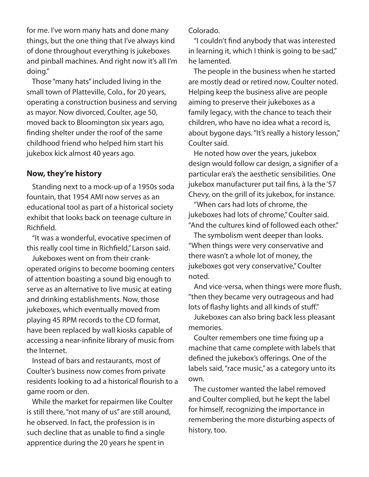for me. I've worn many hats and done many things, but the one thing that I've always kind of done throughout everything is jukeboxes and pinball machines. And right now it's all I'm doing."

Those "many hats" included living in the small town of Platteville, Colo., for 20 years, operating a construction business and serving as mayor. Now divorced, Coulter, age 50, moved back to Bloomington six years ago, finding shelter under the roof of the same childhood friend who helped him start his jukebox kick almost 40 years ago.

## **Now, they're history**

Standing next to a mock-up of a 1950s soda fountain, that 1954 AMI now serves as an educational tool as part of a historical society exhibit that looks back on teenage culture in Richfield.

"It was a wonderful, evocative specimen of this really cool time in Richfield," Larson said.

Jukeboxes went on from their crankoperated origins to become booming centers of attention boasting a sound big enough to serve as an alternative to live music at eating and drinking establishments. Now, those jukeboxes, which eventually moved from playing 45 RPM records to the CD format, have been replaced by wall kiosks capable of accessing a near-infinite library of music from the Internet.

Instead of bars and restaurants, most of Coulter's business now comes from private residents looking to ad a historical flourish to a game room or den.

While the market for repairmen like Coulter is still there, "not many of us" are still around, he observed. In fact, the profession is in such decline that as unable to find a single apprentice during the 20 years he spent in

Colorado.

"I couldn't find anybody that was interested in learning it, which I think is going to be sad," he lamented.

The people in the business when he started are mostly dead or retired now, Coulter noted. Helping keep the business alive are people aiming to preserve their jukeboxes as a family legacy, with the chance to teach their children, who have no idea what a record is, about bygone days. "It's really a history lesson," Coulter said.

He noted how over the years, jukebox design would follow car design, a signifier of a particular era's the aesthetic sensibilities. One jukebox manufacturer put tail fins, à la the '57 Chevy, on the grill of its jukebox, for instance.

"When cars had lots of chrome, the jukeboxes had lots of chrome," Coulter said. "And the cultures kind of followed each other."

The symbolism went deeper than looks. "When things were very conservative and there wasn't a whole lot of money, the jukeboxes got very conservative," Coulter noted.

And vice-versa, when things were more flush, "then they became very outrageous and had lots of flashy lights and all kinds of stuff."

Jukeboxes can also bring back less pleasant memories.

Coulter remembers one time fixing up a machine that came complete with labels that defined the jukebox's offerings. One of the labels said, "race music," as a category unto its own.

The customer wanted the label removed and Coulter complied, but he kept the label for himself, recognizing the importance in remembering the more disturbing aspects of history, too.